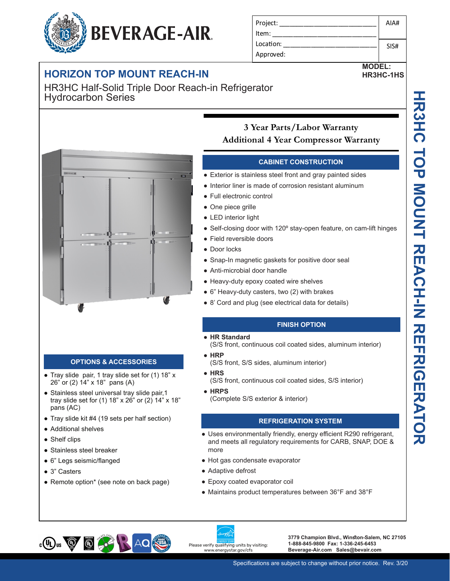# **BEVERAGE-AIR**

### **DUNT REACH-IN**

HR3HC Half-Solid Triple Door Reach-in Refrigerator Hydrocarbon Series



Project: Item: Location: Approved:

#### **CABINET CONSTRUCTION**

- Exterior is stainless steel front and gray painted sides
- Interior liner is made of corrosion resistant aluminum
- Full electronic control
- One piece grille
- LED interior light
- Self-closing door with 120° stay-open feature, on cam-lift hinges
- Field reversible doors
- Door locks
- Snap-In magnetic gaskets for positive door seal
- Anti-microbial door handle
- Heavy-duty epoxy coated wire shelves
- 6" Heavy-duty casters, two (2) with brakes
- 8' Cord and plug (see electrical data for details)

#### **FINISH OPTION**

- **HR Standard** 
	- (S/S front, continuous coil coated sides, aluminum interior)
- **HRP**
	- (S/S front, S/S sides, aluminum interior)
- **HRS**
- (S/S front, continuous coil coated sides, S/S interior)
- **HRPS**
	- (Complete S/S exterior & interior)

#### **REFRIGERATION SYSTEM**

- Uses environmentally friendly, energy efficient R290 refrigerant, and meets all regulatory requirements for CARB, SNAP, DOE & more
- Hot gas condensate evaporator
- Adaptive defrost
- Epoxy coated evaporator coil
- Maintains product temperatures between 36°F and 38°F



**3779 Champion Blvd., Winston-Salem, NC 27105 1-888-845-9800 Fax: 1-336-245-6453 Beverage-Air.com Sales@bevair.com**

AIA#

SIS#

**MODEL: HR3HC-1HS**

| <b>THE DEVE</b>      |  |
|----------------------|--|
| <b>HORIZON TOP M</b> |  |
| - HRJHU HPIE CUIY    |  |



**OPTIONS & ACCESSORIES**

● Tray slide pair, 1 tray slide set for (1) 18" x

• Stainless steel universal tray slide pair, 1 tray slide set for (1) 18" x 26" or (2) 14" x 18"

● Tray slide kit #4 (19 sets per half section)

• Remote option\* (see note on back page)

26" or (2) 14" x 18" pans (A)

pans (AC)

● Shelf clips

● 3" Casters

● Additional shelves

● Stainless steel breaker ● 6" Legs seismic/flanged